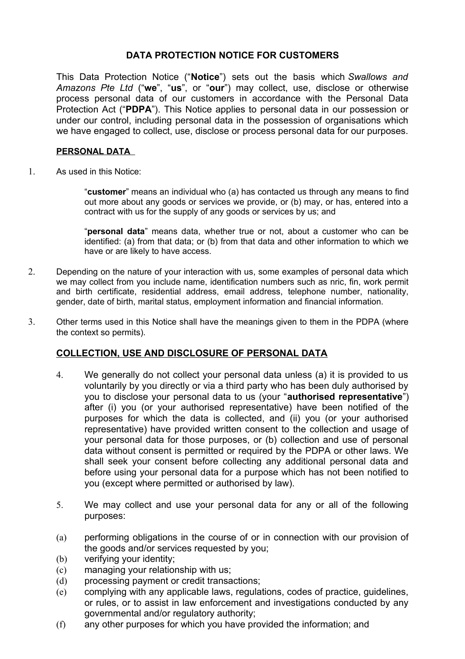#### **DATA PROTECTION NOTICE FOR CUSTOMERS**

This Data Protection Notice ("**Notice**") sets out the basis which *Swallows and Amazons Pte Ltd* ("**we**", "**us**", or "**our**") may collect, use, disclose or otherwise process personal data of our customers in accordance with the Personal Data Protection Act ("**PDPA**"). This Notice applies to personal data in our possession or under our control, including personal data in the possession of organisations which we have engaged to collect, use, disclose or process personal data for our purposes.

#### **PERSONAL DATA**

1. As used in this Notice:

"**customer**" means an individual who (a) has contacted us through any means to find out more about any goods or services we provide, or (b) may, or has, entered into a contract with us for the supply of any goods or services by us; and

"**personal data**" means data, whether true or not, about a customer who can be identified: (a) from that data; or (b) from that data and other information to which we have or are likely to have access.

- 2. Depending on the nature of your interaction with us, some examples of personal data which we may collect from you include name, identification numbers such as nric, fin, work permit and birth certificate, residential address, email address, telephone number, nationality, gender, date of birth, marital status, employment information and financial information.
- 3. Other terms used in this Notice shall have the meanings given to them in the PDPA (where the context so permits).

# **COLLECTION, USE AND DISCLOSURE OF PERSONAL DATA**

- 4. We generally do not collect your personal data unless (a) it is provided to us voluntarily by you directly or via a third party who has been duly authorised by you to disclose your personal data to us (your "**authorised representative**") after (i) you (or your authorised representative) have been notified of the purposes for which the data is collected, and (ii) you (or your authorised representative) have provided written consent to the collection and usage of your personal data for those purposes, or (b) collection and use of personal data without consent is permitted or required by the PDPA or other laws. We shall seek your consent before collecting any additional personal data and before using your personal data for a purpose which has not been notified to you (except where permitted or authorised by law).
- 5. We may collect and use your personal data for any or all of the following purposes:
- (a) performing obligations in the course of or in connection with our provision of the goods and/or services requested by you;
- (b) verifying your identity;
- (c) managing your relationship with us;
- (d) processing payment or credit transactions;
- (e) complying with any applicable laws, regulations, codes of practice, guidelines, or rules, or to assist in law enforcement and investigations conducted by any governmental and/or regulatory authority;
- (f) any other purposes for which you have provided the information; and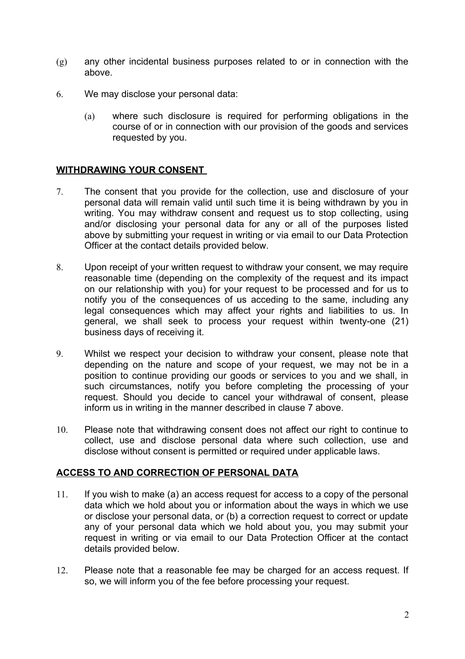- (g) any other incidental business purposes related to or in connection with the above.
- 6. We may disclose your personal data:
	- (a) where such disclosure is required for performing obligations in the course of or in connection with our provision of the goods and services requested by you.

#### **WITHDRAWING YOUR CONSENT**

- 7. The consent that you provide for the collection, use and disclosure of your personal data will remain valid until such time it is being withdrawn by you in writing. You may withdraw consent and request us to stop collecting, using and/or disclosing your personal data for any or all of the purposes listed above by submitting your request in writing or via email to our Data Protection Officer at the contact details provided below.
- 8. Upon receipt of your written request to withdraw your consent, we may require reasonable time (depending on the complexity of the request and its impact on our relationship with you) for your request to be processed and for us to notify you of the consequences of us acceding to the same, including any legal consequences which may affect your rights and liabilities to us. In general, we shall seek to process your request within twenty-one (21) business days of receiving it.
- 9. Whilst we respect your decision to withdraw your consent, please note that depending on the nature and scope of your request, we may not be in a position to continue providing our goods or services to you and we shall, in such circumstances, notify you before completing the processing of your request. Should you decide to cancel your withdrawal of consent, please inform us in writing in the manner described in clause 7 above.
- 10. Please note that withdrawing consent does not affect our right to continue to collect, use and disclose personal data where such collection, use and disclose without consent is permitted or required under applicable laws.

#### **ACCESS TO AND CORRECTION OF PERSONAL DATA**

- 11. If you wish to make (a) an access request for access to a copy of the personal data which we hold about you or information about the ways in which we use or disclose your personal data, or (b) a correction request to correct or update any of your personal data which we hold about you, you may submit your request in writing or via email to our Data Protection Officer at the contact details provided below.
- 12. Please note that a reasonable fee may be charged for an access request. If so, we will inform you of the fee before processing your request.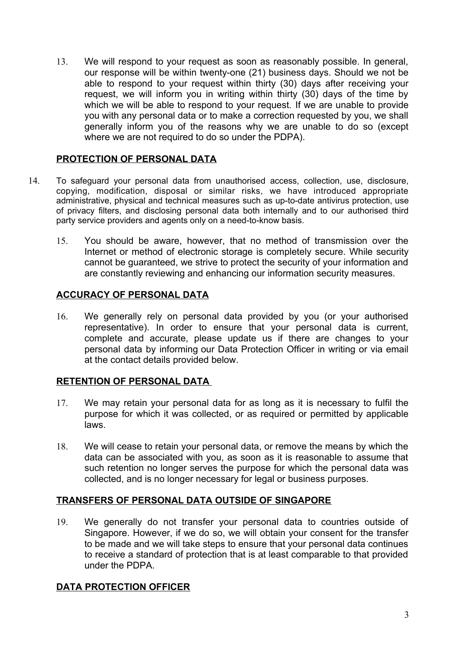13. We will respond to your request as soon as reasonably possible. In general, our response will be within twenty-one (21) business days. Should we not be able to respond to your request within thirty (30) days after receiving your request, we will inform you in writing within thirty (30) days of the time by which we will be able to respond to your request. If we are unable to provide you with any personal data or to make a correction requested by you, we shall generally inform you of the reasons why we are unable to do so (except where we are not required to do so under the PDPA).

# **PROTECTION OF PERSONAL DATA**

- 14. To safeguard your personal data from unauthorised access, collection, use, disclosure, copying, modification, disposal or similar risks, we have introduced appropriate administrative, physical and technical measures such as up-to-date antivirus protection, use of privacy filters, and disclosing personal data both internally and to our authorised third party service providers and agents only on a need-to-know basis.
	- 15. You should be aware, however, that no method of transmission over the Internet or method of electronic storage is completely secure. While security cannot be guaranteed, we strive to protect the security of your information and are constantly reviewing and enhancing our information security measures.

# **ACCURACY OF PERSONAL DATA**

16. We generally rely on personal data provided by you (or your authorised representative). In order to ensure that your personal data is current, complete and accurate, please update us if there are changes to your personal data by informing our Data Protection Officer in writing or via email at the contact details provided below.

# **RETENTION OF PERSONAL DATA**

- 17. We may retain your personal data for as long as it is necessary to fulfil the purpose for which it was collected, or as required or permitted by applicable laws.
- 18. We will cease to retain your personal data, or remove the means by which the data can be associated with you, as soon as it is reasonable to assume that such retention no longer serves the purpose for which the personal data was collected, and is no longer necessary for legal or business purposes.

# **TRANSFERS OF PERSONAL DATA OUTSIDE OF SINGAPORE**

19. We generally do not transfer your personal data to countries outside of Singapore. However, if we do so, we will obtain your consent for the transfer to be made and we will take steps to ensure that your personal data continues to receive a standard of protection that is at least comparable to that provided under the PDPA.

# **DATA PROTECTION OFFICER**